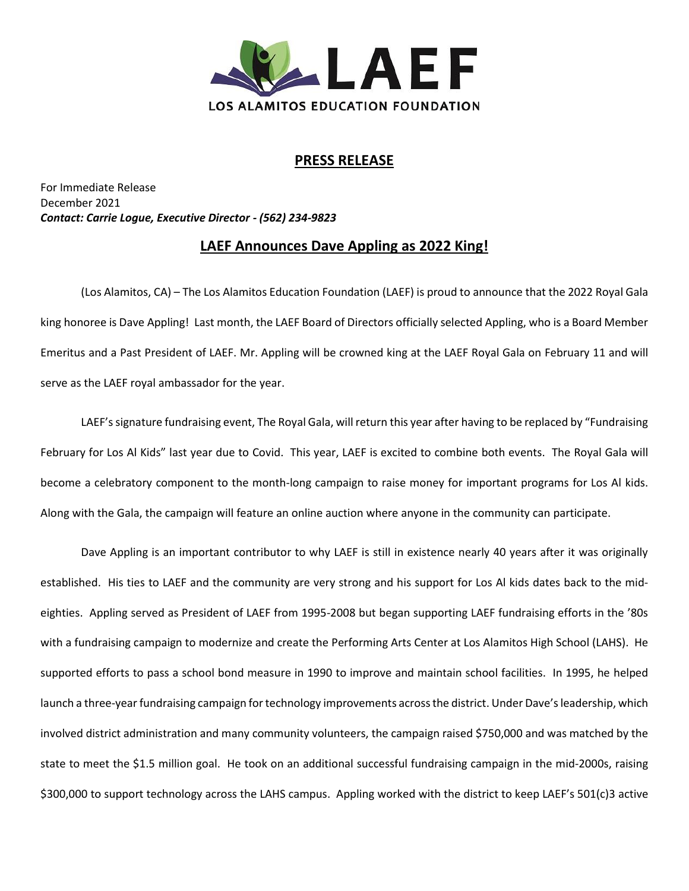

## **PRESS RELEASE**

For Immediate Release December 2021 *Contact: Carrie Logue, Executive Director - (562) 234-9823*

## **LAEF Announces Dave Appling as 2022 King!**

(Los Alamitos, CA) – The Los Alamitos Education Foundation (LAEF) is proud to announce that the 2022 Royal Gala king honoree is Dave Appling! Last month, the LAEF Board of Directors officially selected Appling, who is a Board Member Emeritus and a Past President of LAEF. Mr. Appling will be crowned king at the LAEF Royal Gala on February 11 and will serve as the LAEF royal ambassador for the year.

LAEF'ssignature fundraising event, The Royal Gala, will return this year after having to be replaced by "Fundraising February for Los Al Kids" last year due to Covid. This year, LAEF is excited to combine both events. The Royal Gala will become a celebratory component to the month-long campaign to raise money for important programs for Los Al kids. Along with the Gala, the campaign will feature an online auction where anyone in the community can participate.

Dave Appling is an important contributor to why LAEF is still in existence nearly 40 years after it was originally established. His ties to LAEF and the community are very strong and his support for Los Al kids dates back to the mideighties. Appling served as President of LAEF from 1995-2008 but began supporting LAEF fundraising efforts in the '80s with a fundraising campaign to modernize and create the Performing Arts Center at Los Alamitos High School (LAHS). He supported efforts to pass a school bond measure in 1990 to improve and maintain school facilities. In 1995, he helped launch a three-year fundraising campaign for technology improvements across the district. Under Dave's leadership, which involved district administration and many community volunteers, the campaign raised \$750,000 and was matched by the state to meet the \$1.5 million goal. He took on an additional successful fundraising campaign in the mid-2000s, raising \$300,000 to support technology across the LAHS campus. Appling worked with the district to keep LAEF's 501(c)3 active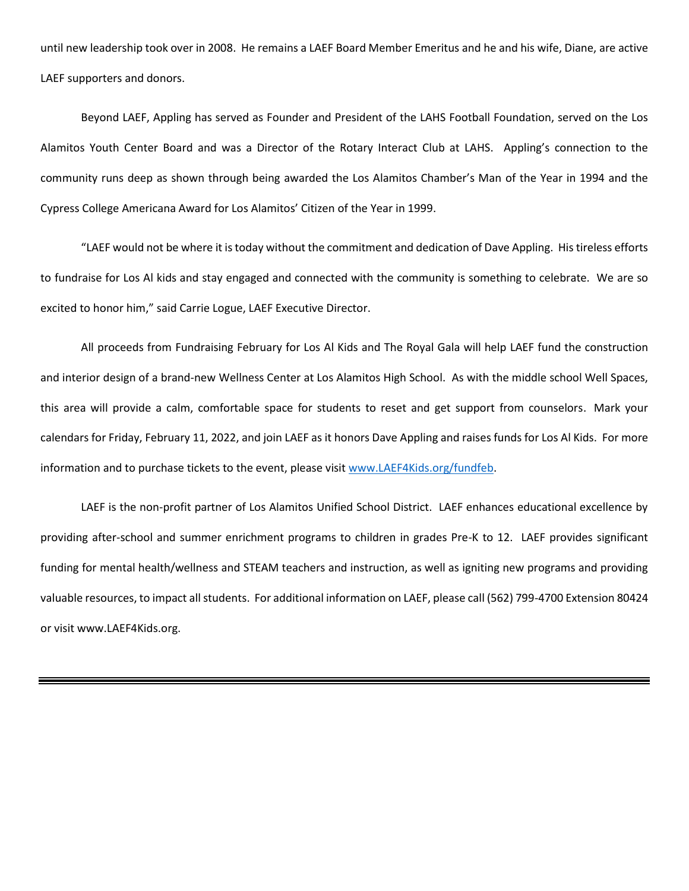until new leadership took over in 2008. He remains a LAEF Board Member Emeritus and he and his wife, Diane, are active LAEF supporters and donors.

Beyond LAEF, Appling has served as Founder and President of the LAHS Football Foundation, served on the Los Alamitos Youth Center Board and was a Director of the Rotary Interact Club at LAHS. Appling's connection to the community runs deep as shown through being awarded the Los Alamitos Chamber's Man of the Year in 1994 and the Cypress College Americana Award for Los Alamitos' Citizen of the Year in 1999.

"LAEF would not be where it is today without the commitment and dedication of Dave Appling. His tireless efforts to fundraise for Los Al kids and stay engaged and connected with the community is something to celebrate. We are so excited to honor him," said Carrie Logue, LAEF Executive Director.

All proceeds from Fundraising February for Los Al Kids and The Royal Gala will help LAEF fund the construction and interior design of a brand-new Wellness Center at Los Alamitos High School. As with the middle school Well Spaces, this area will provide a calm, comfortable space for students to reset and get support from counselors. Mark your calendars for Friday, February 11, 2022, and join LAEF as it honors Dave Appling and raises funds for Los Al Kids. For more information and to purchase tickets to the event, please visit [www.LAEF4Kids.org/fundfeb.](http://www.laef4kids.org/fundfeb)

LAEF is the non-profit partner of Los Alamitos Unified School District. LAEF enhances educational excellence by providing after-school and summer enrichment programs to children in grades Pre-K to 12. LAEF provides significant funding for mental health/wellness and STEAM teachers and instruction, as well as igniting new programs and providing valuable resources, to impact all students. For additional information on LAEF, please call (562) 799-4700 Extension 80424 or visit www.LAEF4Kids.org.